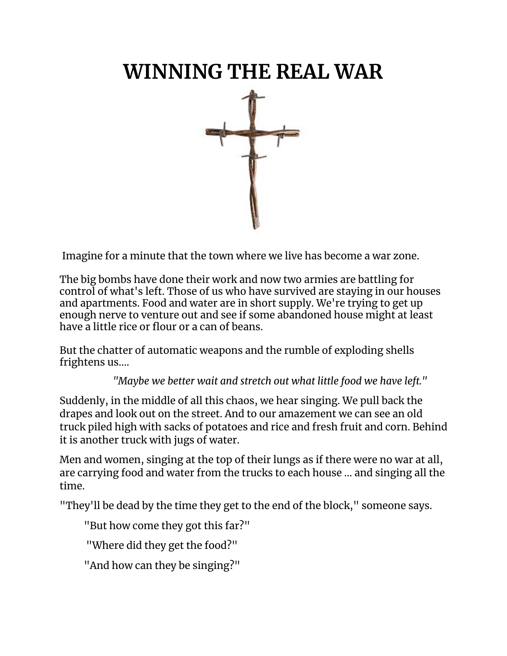# **WINNING THE REAL WAR**



Imagine for a minute that the town where we live has become a war zone.

The big bombs have done their work and now two armies are battling for control of what's left. Those of us who have survived are staying in our houses and apartments. Food and water are in short supply. We're trying to get up enough nerve to venture out and see if some abandoned house might at least have a little rice or flour or a can of beans.

But the chatter of automatic weapons and the rumble of exploding shells frightens us....

*"Maybe we better wait and stretch out what little food we have left."*

Suddenly, in the middle of all this chaos, we hear singing. We pull back the drapes and look out on the street. And to our amazement we can see an old truck piled high with sacks of potatoes and rice and fresh fruit and corn. Behind it is another truck with jugs of water.

Men and women, singing at the top of their lungs as if there were no war at all, are carrying food and water from the trucks to each house ... and singing all the time.

"They'll be dead by the time they get to the end of the block," someone says.

"But how come they got this far?"

"Where did they get the food?"

"And how can they be singing?"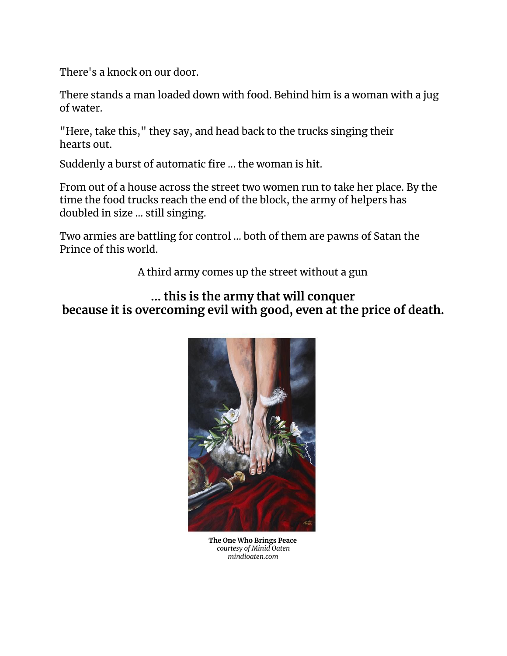There's a knock on our door.

There stands a man loaded down with food. Behind him is a woman with a jug of water.

"Here, take this," they say, and head back to the trucks singing their hearts out.

Suddenly a burst of automatic fire ... the woman is hit.

From out of a house across the street two women run to take her place. By the time the food trucks reach the end of the block, the army of helpers has doubled in size ... still singing.

Two armies are battling for control ... both of them are pawns of Satan the Prince of this world.

A third army comes up the street without a gun

#### **... this is the army that will conquer because it is overcoming evil with good, even at the price of death.**



**The One Who Brings Peace** *courtesy of Minid Oaten mindioaten.com*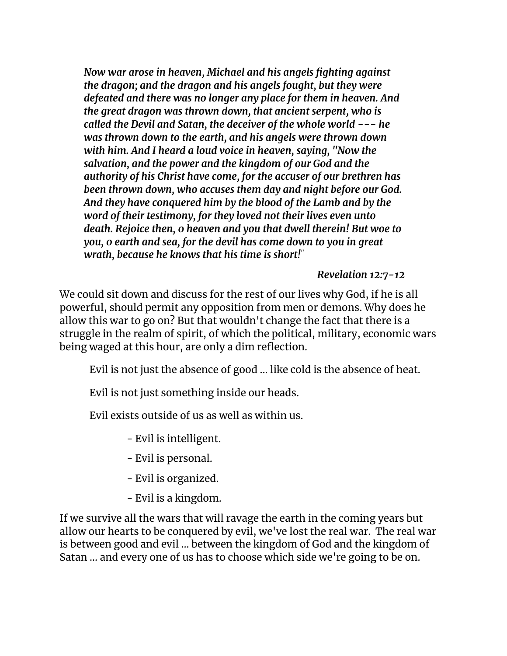*Now war arose in heaven, Michael and his angels fighting against the dragon; and the dragon and his angels fought, but they were defeated and there was no longer any place for them in heaven. And the great dragon was thrown down, that ancient serpent, who is called the Devil and Satan, the deceiver of the whole world --- he was thrown down to the earth, and his angels were thrown down with him. And I heard a loud voice in heaven, saying, "Now the salvation, and the power and the kingdom of our God and the authority of his Christ have come, for the accuser of our brethren has been thrown down, who accuses them day and night before our God. And they have conquered him by the blood of the Lamb and by the word of their testimony, for they loved not their lives even unto death. Rejoice then, 0 heaven and you that dwell therein! But woe to you, 0 earth and sea, for the devil has come down to you in great wrath, because he knows that his time is short! "*

#### *Revelation 12:7-12*

We could sit down and discuss for the rest of our lives why God, if he is all powerful, should permit any opposition from men or demons. Why does he allow this war to go on? But that wouldn't change the fact that there is a struggle in the realm of spirit, of which the political, military, economic wars being waged at this hour, are only a dim reflection.

Evil is not just the absence of good ... like cold is the absence of heat.

Evil is not just something inside our heads.

Evil exists outside of us as well as within us.

- Evil is intelligent.

- Evil is personal.
- Evil is organized.
- Evil is a kingdom.

If we survive all the wars that will ravage the earth in the coming years but allow our hearts to be conquered by evil, we've lost the real war. The real war is between good and evil ... between the kingdom of God and the kingdom of Satan ... and every one of us has to choose which side we're going to be on.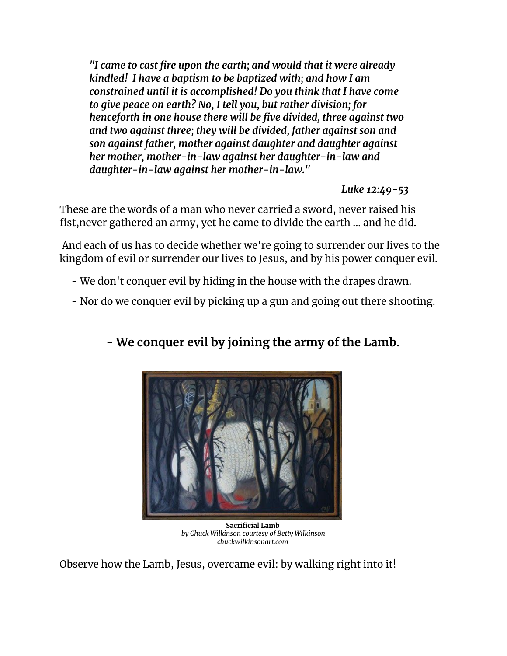*"I came to cast fire upon the earth; and would that it were already kindled! I have a baptism to be baptized with; and how I am constrained until it is accomplished! Do you think that I have come to give peace on earth? No, I tell you, but rather division; for henceforth in one house there will be five divided, three against two and two against three; they will be divided, father against son and son against father, mother against daughter and daughter against her mother, mother-in-law against her daughter-in-law and daughter-in-law against her mother-in-law."*

#### *Luke 12:49-53*

These are the words of a man who never carried a sword, never raised his fist,never gathered an army, yet he came to divide the earth ... and he did.

And each of us has to decide whether we're going to surrender our lives to the kingdom of evil or surrender our lives to Jesus, and by his power conquer evil.

- We don't conquer evil by hiding in the house with the drapes drawn.
- Nor do we conquer evil by picking up a gun and going out there shooting.

## **- We conquer evil by joining the army of the Lamb.**



**Sacrificial Lamb** *by Chuck Wilkinson courtesy of Betty Wilkinson chuckwilkinsonart.com*

Observe how the Lamb, Jesus, overcame evil: by walking right into it!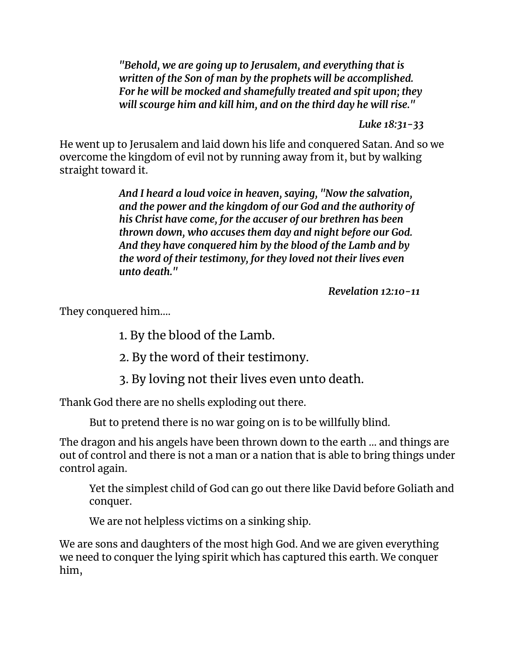*"Behold, we are going up to Jerusalem, and everything that is written of the Son of man by the prophets will be accomplished. For he will be mocked and shamefully treated and spit upon; they will scourge him and kill him, and on the third day he will rise."*

*Luke 18:31-33*

He went up to Jerusalem and laid down his life and conquered Satan. And so we overcome the kingdom of evil not by running away from it, but by walking straight toward it.

> *And I heard a loud voice in heaven, saying, "Now the salvation, and the power and the kingdom of our God and the authority of his Christ have come, for the accuser of our brethren has been thrown down, who accuses them day and night before our God. And they have conquered him by the blood of the Lamb and by the word of their testimony, for they loved not their lives even unto death."*

> > *Revelation 12:10-11*

They conquered him....

1. By the blood of the Lamb.

2. By the word of their testimony.

3. By loving not their lives even unto death.

Thank God there are no shells exploding out there.

But to pretend there is no war going on is to be willfully blind.

The dragon and his angels have been thrown down to the earth ... and things are out of control and there is not a man or a nation that is able to bring things under control again.

Yet the simplest child of God can go out there like David before Goliath and conquer.

We are not helpless victims on a sinking ship.

We are sons and daughters of the most high God. And we are given everything we need to conquer the lying spirit which has captured this earth. We conquer him,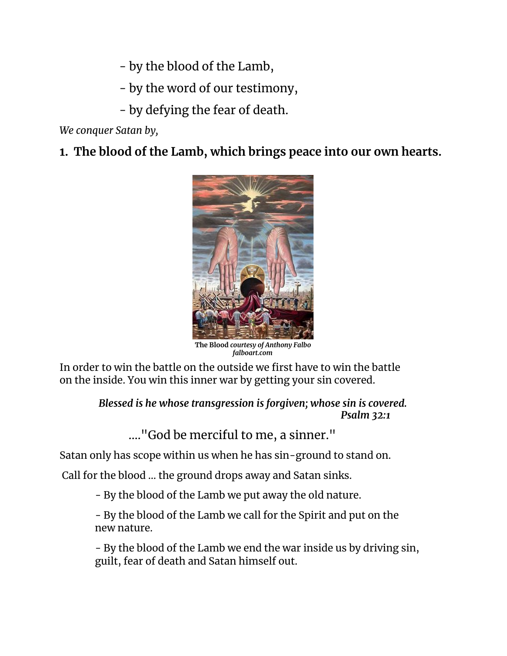- by the blood of the Lamb,

- by the word of our testimony,

- by defying the fear of death.

*We conquer Satan by,*

### **1. The blood of the Lamb, which brings peace into our own hearts.**



**The Blood** *courtesy of Anthony Falbo falboart.com*

In order to win the battle on the outside we first have to win the battle on the inside. You win this inner war by getting your sin covered.

> *Blessed is he whose transgression is forgiven; whose sin is covered. Psalm 32:1*

...."God be merciful to me, a sinner."

Satan only has scope within us when he has sin-ground to stand on.

Call for the blood ... the ground drops away and Satan sinks.

- By the blood of the Lamb we put away the old nature.

- By the blood of the Lamb we call for the Spirit and put on the new nature.

- By the blood of the Lamb we end the war inside us by driving sin, guilt, fear of death and Satan himself out.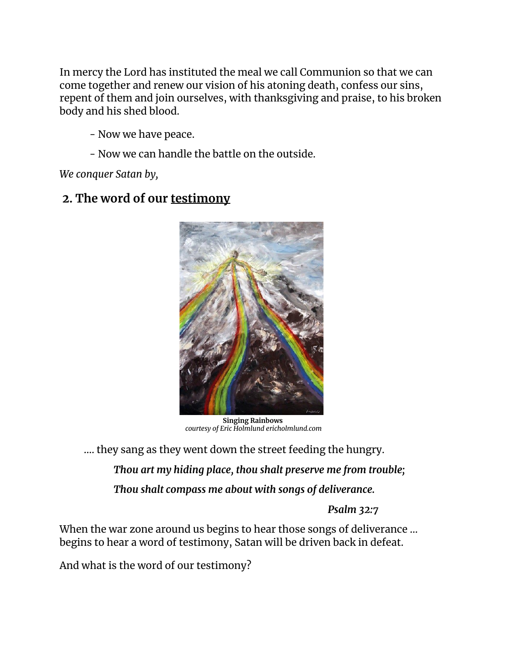In mercy the Lord has instituted the meal we call Communion so that we can come together and renew our vision of his atoning death, confess our sins, repent of them and join ourselves, with thanksgiving and praise, to his broken body and his shed blood.

- Now we have peace.

- Now we can handle the battle on the outside.

*We conquer Satan by,*

#### **2. The word of our testimony**



**Singing Rainbows** *courtesy of Eric Holmlund ericholmlund.com*

.... they sang as they went down the street feeding the hungry.

*Thou art my hiding place, thou shalt preserve me from trouble; Thou shalt compass me about with songs of deliverance.*

*Psalm 32:7*

When the war zone around us begins to hear those songs of deliverance ... begins to hear a word of testimony, Satan will be driven back in defeat.

And what is the word of our testimony?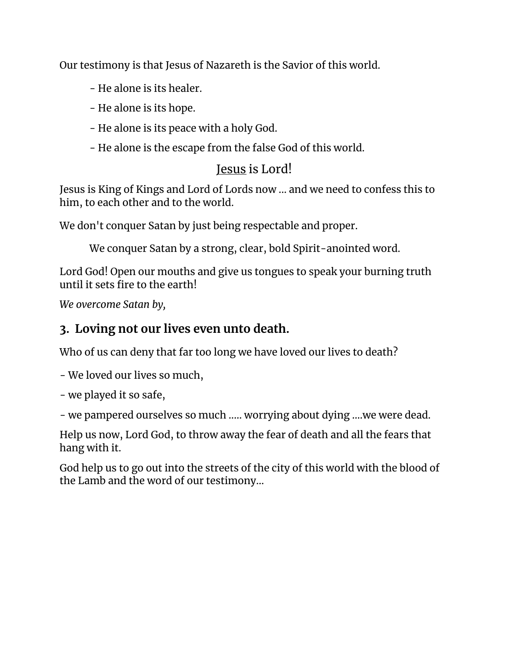Our testimony is that Jesus of Nazareth is the Savior of this world.

- He alone is its healer.
- He alone is its hope.
- He alone is its peace with a holy God.
- He alone is the escape from the false God of this world.

## Jesus is Lord!

Jesus is King of Kings and Lord of Lords now ... and we need to confess this to him, to each other and to the world.

We don't conquer Satan by just being respectable and proper.

We conquer Satan by a strong, clear, bold Spirit-anointed word.

Lord God! Open our mouths and give us tongues to speak your burning truth until it sets fire to the earth!

*We overcome Satan by,*

### **3. Loving not our lives even unto death.**

Who of us can deny that far too long we have loved our lives to death?

- We loved our lives so much,

- we played it so safe,

- we pampered ourselves so much ..... worrying about dying ....we were dead.

Help us now, Lord God, to throw away the fear of death and all the fears that hang with it.

God help us to go out into the streets of the city of this world with the blood of the Lamb and the word of our testimony…